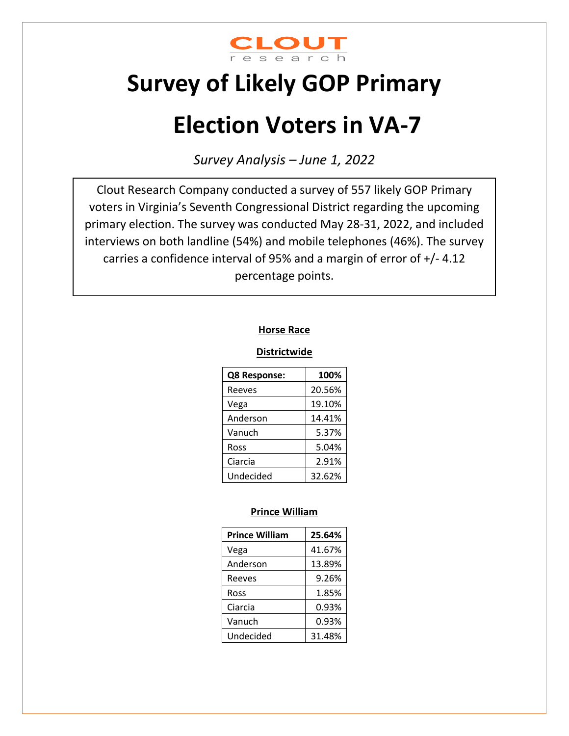

# **Survey of Likely GOP Primary**

# **Election Voters in VA-7**

*Survey Analysis – June 1, 2022*

Clout Research Company conducted a survey of 557 likely GOP Primary voters in Virginia's Seventh Congressional District regarding the upcoming primary election. The survey was conducted May 28-31, 2022, and included interviews on both landline (54%) and mobile telephones (46%). The survey carries a confidence interval of 95% and a margin of error of +/- 4.12 percentage points.

#### **Horse Race**

#### **Districtwide**

| Q8 Response: | 100%   |
|--------------|--------|
| Reeves       | 20.56% |
| Vega         | 19.10% |
| Anderson     | 14.41% |
| Vanuch       | 5.37%  |
| Ross         | 5.04%  |
| Ciarcia      | 2.91%  |
| Undecided    | 32.62% |

#### **Prince William**

| <b>Prince William</b> | 25.64% |
|-----------------------|--------|
| Vega                  | 41.67% |
| Anderson              | 13.89% |
| Reeves                | 9.26%  |
| Ross                  | 1.85%  |
| Ciarcia               | 0.93%  |
| Vanuch                | 0.93%  |
| Undecided             | 31.48% |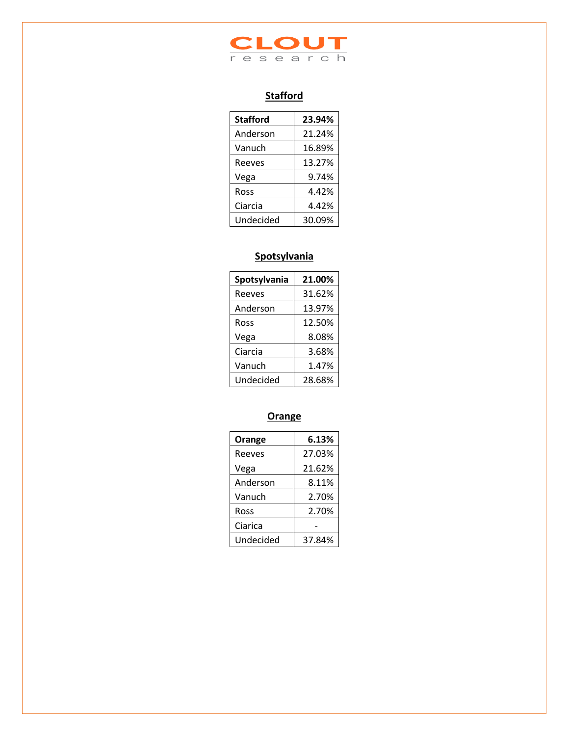

# **Stafford**

| <b>Stafford</b> | 23.94% |
|-----------------|--------|
| Anderson        | 21.24% |
| Vanuch          | 16.89% |
| Reeves          | 13.27% |
| Vega            | 9.74%  |
| Ross            | 4.42%  |
| Ciarcia         | 4.42%  |
| Undecided       | 30.09% |

#### **Spotsylvania**

| Spotsylvania | 21.00% |
|--------------|--------|
| Reeves       | 31.62% |
| Anderson     | 13.97% |
| Ross         | 12.50% |
| Vega         | 8.08%  |
| Ciarcia      | 3.68%  |
| Vanuch       | 1.47%  |
| Undecided    | 28.68% |

# **Orange**

| Orange    | 6.13%  |
|-----------|--------|
| Reeves    | 27.03% |
| Vega      | 21.62% |
| Anderson  | 8.11%  |
| Vanuch    | 2.70%  |
| Ross      | 2.70%  |
| Ciarica   |        |
| Undecided | 37.84% |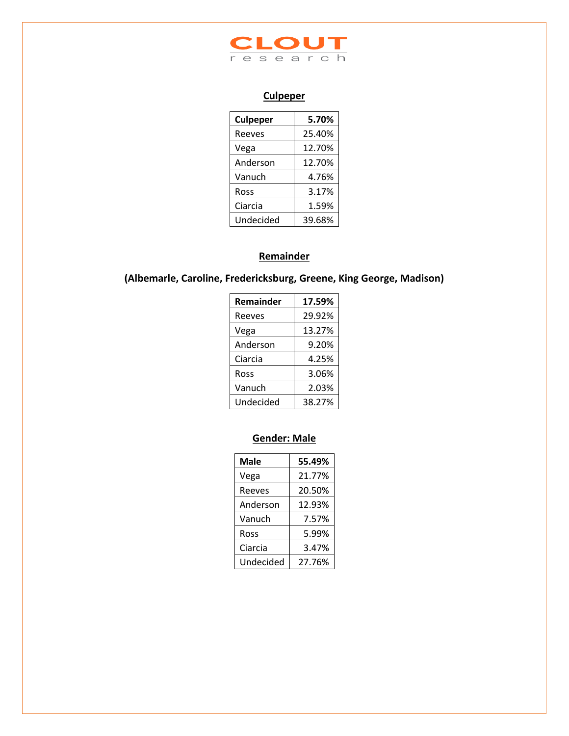

# **Culpeper**

| <b>Culpeper</b> | 5.70%  |
|-----------------|--------|
| Reeves          | 25.40% |
| Vega            | 12.70% |
| Anderson        | 12.70% |
| Vanuch          | 4.76%  |
| Ross            | 3.17%  |
| Ciarcia         | 1.59%  |
| Undecided       | 39.68% |

# **Remainder**

# **(Albemarle, Caroline, Fredericksburg, Greene, King George, Madison)**

| <b>Remainder</b> | 17.59% |
|------------------|--------|
| Reeves           | 29.92% |
| Vega             | 13.27% |
| Anderson         | 9.20%  |
| Ciarcia          | 4.25%  |
| Ross             | 3.06%  |
| Vanuch           | 2.03%  |
| Undecided        | 38.27% |

# **Gender: Male**

| <b>Male</b> | 55.49% |
|-------------|--------|
| Vega        | 21.77% |
| Reeves      | 20.50% |
| Anderson    | 12.93% |
| Vanuch      | 7.57%  |
| Ross        | 5.99%  |
| Ciarcia     | 3.47%  |
| Undecided   | 27.76% |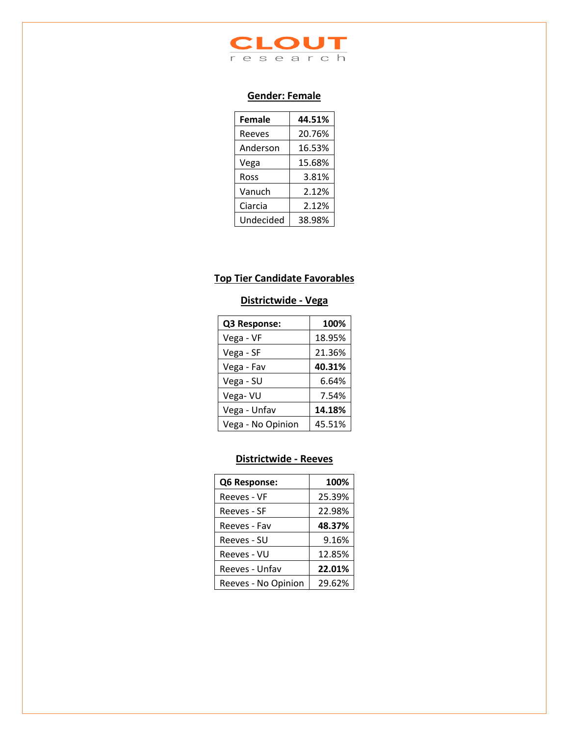

#### **Gender: Female**

| <b>Female</b> | 44.51% |
|---------------|--------|
| Reeves        | 20.76% |
| Anderson      | 16.53% |
| Vega          | 15.68% |
| Ross          | 3.81%  |
| Vanuch        | 2.12%  |
| Ciarcia       | 2.12%  |
| Undecided     | 38.98% |

# **Top Tier Candidate Favorables**

# **Districtwide - Vega**

| Q3 Response:      | 100%   |
|-------------------|--------|
| Vega - VF         | 18.95% |
| Vega - SF         | 21.36% |
| Vega - Fav        | 40.31% |
| Vega - SU         | 6.64%  |
| Vega-VU           | 7.54%  |
| Vega - Unfav      | 14.18% |
| Vega - No Opinion | 45.51% |

#### **Districtwide - Reeves**

| Q6 Response:        | 100%   |
|---------------------|--------|
| Reeves - VF         | 25.39% |
| Reeves - SF         | 22.98% |
| Reeves - Fav        | 48.37% |
| Reeves - SU         | 9.16%  |
| Reeves - VU         | 12.85% |
| Reeves - Unfav      | 22.01% |
| Reeves - No Opinion | 29.62% |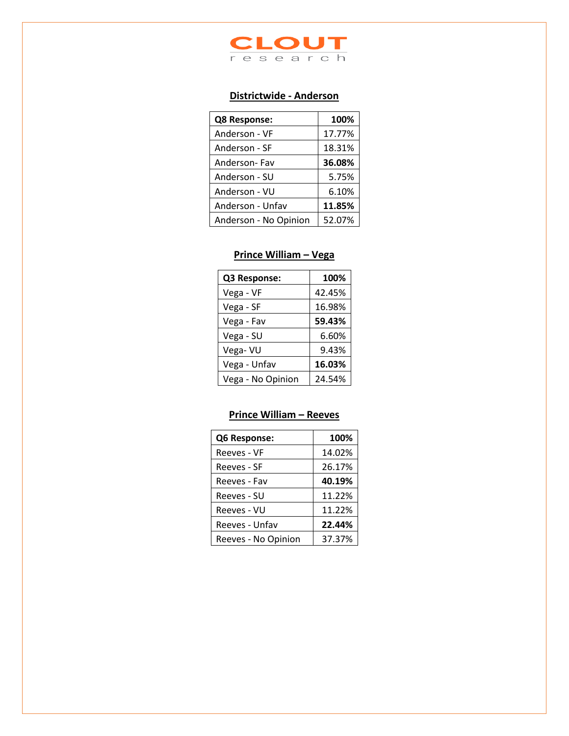

# **Districtwide - Anderson**

| Q8 Response:          | 100%   |
|-----------------------|--------|
| Anderson - VF         | 17.77% |
| Anderson - SF         | 18.31% |
| Anderson-Fav          | 36.08% |
| Anderson - SU         | 5.75%  |
| Anderson - VU         | 6.10%  |
| Anderson - Unfav      | 11.85% |
| Anderson - No Opinion | 52.07% |

#### **Prince William – Vega**

| Q3 Response:      | 100%   |
|-------------------|--------|
| Vega - VF         | 42.45% |
| Vega - SF         | 16.98% |
| Vega - Fav        | 59.43% |
| Vega - SU         | 6.60%  |
| Vega- VU          | 9.43%  |
| Vega - Unfav      | 16.03% |
| Vega - No Opinion | 24.54% |

# **Prince William – Reeves**

| Q6 Response:        | 100%   |
|---------------------|--------|
| Reeves - VF         | 14.02% |
| Reeves - SF         | 26.17% |
| Reeves - Fav        | 40.19% |
| Reeves - SU         | 11.22% |
| Reeves - VU         | 11.22% |
| Reeves - Unfav      | 22.44% |
| Reeves - No Opinion | 37.37% |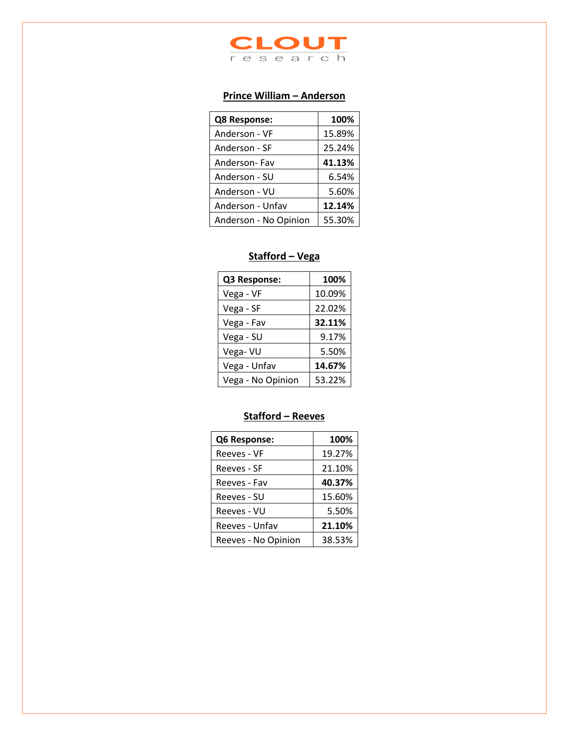

# **Prince William – Anderson**

| Q8 Response:          | 100%   |
|-----------------------|--------|
| Anderson - VF         | 15.89% |
| Anderson - SF         | 25.24% |
| Anderson-Fav          | 41.13% |
| Anderson - SU         | 6.54%  |
| Anderson - VU         | 5.60%  |
| Anderson - Unfav      | 12.14% |
| Anderson - No Opinion | 55.30% |

#### **Stafford – Vega**

| Q3 Response:      | 100%   |
|-------------------|--------|
| Vega - VF         | 10.09% |
| Vega - SF         | 22.02% |
| Vega - Fav        | 32.11% |
| Vega - SU         | 9.17%  |
| Vega-VU           | 5.50%  |
| Vega - Unfav      | 14.67% |
| Vega - No Opinion | 53.22% |

## **Stafford – Reeves**

| Q6 Response:        | 100%   |
|---------------------|--------|
| Reeves - VF         | 19.27% |
| Reeves - SF         | 21.10% |
| Reeves - Fav        | 40.37% |
| Reeves - SU         | 15.60% |
| Reeves - VU         | 5.50%  |
| Reeves - Unfav      | 21.10% |
| Reeves - No Opinion | 38.53% |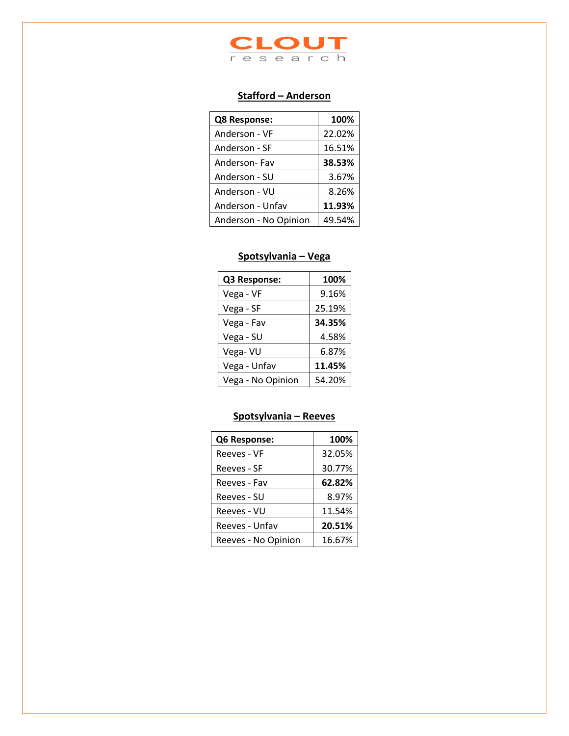

#### **Stafford – Anderson**

| Q8 Response:          | 100%   |
|-----------------------|--------|
| Anderson - VF         | 22.02% |
| Anderson - SF         | 16.51% |
| Anderson-Fav          | 38.53% |
| Anderson - SU         | 3.67%  |
| Anderson - VU         | 8.26%  |
| Anderson - Unfav      | 11.93% |
| Anderson - No Opinion | 49.54% |

#### **Spotsylvania – Vega**

| Q3 Response:      | 100%   |
|-------------------|--------|
| Vega - VF         | 9.16%  |
| Vega - SF         | 25.19% |
| Vega - Fav        | 34.35% |
| Vega - SU         | 4.58%  |
| Vega-VU           | 6.87%  |
| Vega - Unfav      | 11.45% |
| Vega - No Opinion | 54.20% |

# **Spotsylvania – Reeves**

| Q6 Response:        | 100%   |
|---------------------|--------|
| Reeves - VF         | 32.05% |
| Reeves - SF         | 30.77% |
| Reeves - Fav        | 62.82% |
| Reeves - SU         | 8.97%  |
| Reeves - VU         | 11.54% |
| Reeves - Unfav      | 20.51% |
| Reeves - No Opinion | 16.67% |